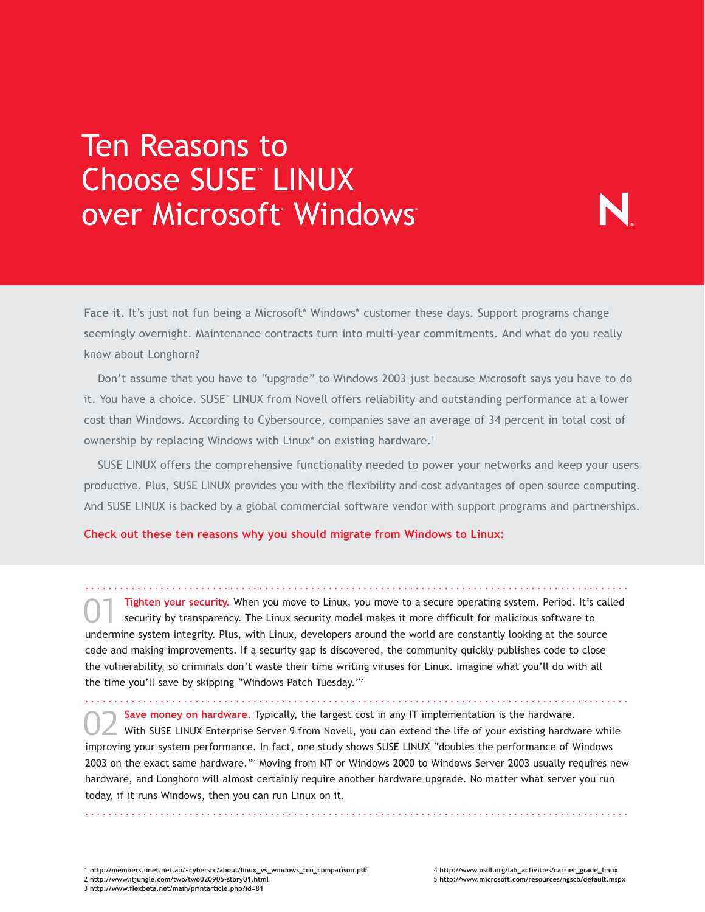## Ten Reasons to Choose SUSE™ LINUX over Microsoft Windows

**Face it.** It's just not fun being a Microsoft\* Windows\* customer these days. Support programs change seemingly overnight. Maintenance contracts turn into multi-year commitments. And what do you really know about Longhorn?

Don't assume that you have to "upgrade" to Windows 2003 just because Microsoft says you have to do it. You have a choice. SUSE<sup>™</sup> LINUX from Novell offers reliability and outstanding performance at a lower cost than Windows. According to Cybersource, companies save an average of 34 percent in total cost of ownership by replacing Windows with Linux\* on existing hardware.<sup>1</sup>

SUSE LINUX offers the comprehensive functionality needed to power your networks and keep your users productive. Plus, SUSE LINUX provides you with the flexibility and cost advantages of open source computing. And SUSE LINUX is backed by a global commercial software vendor with support programs and partnerships.

**Check out these ten reasons why you should migrate from Windows to Linux:**

.............................................................................................. **Tighten your security.** When you move to Linux, you move to a secure operating system. Period. It's called security by transparency. The Linux security model makes it more difficult for malicious software to undermine system integrity. Plus, with Linux, developers around the world are constantly looking at the source code and making improvements. If a security gap is discovered, the community quickly publishes code to close the vulnerability, so criminals don't waste their time writing viruses for Linux. Imagine what you'll do with all the time you'll save by skipping "Windows Patch Tuesday."2 01

..............................................................................................

**Save money on hardware.** Typically, the largest cost in any IT implementation is the hardware. With SUSE LINUX Enterprise Server 9 from Novell, you can extend the life of your existing hardware while improving your system performance. In fact, one study shows SUSE LINUX "doubles the performance of Windows 2003 on the exact same hardware."3 Moving from NT or Windows 2000 to Windows Server 2003 usually requires new hardware, and Longhorn will almost certainly require another hardware upgrade. No matter what server you run today, if it runs Windows, then you can run Linux on it. 02

..............................................................................................

1 **http://members.iinet.net.au/~cybersrc/about/linux\_vs\_windows\_tco\_comparison.pdf** 2 **http://www.itjungle.com/two/two020905-story01.html** 3 **http://www.flexbeta.net/main/printarticle.php?id=81**